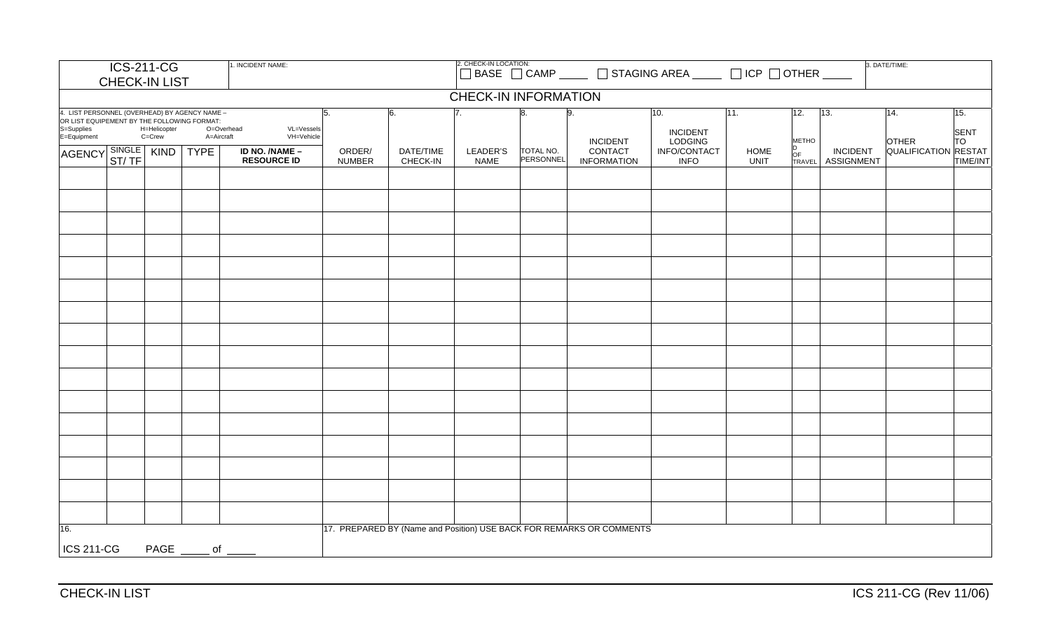| <b>ICS-211-CG</b><br>1. INCIDENT NAME:<br>CHECK-IN LIST                                                                   |       |                             |                   |                                        | 2. CHECK-IN LOCATION:<br>□ BASE □ CAMP _____ □ STAGING AREA _____ □ ICP □ OTHER _____<br>3. DATE/TIME: |                       |                             |                        |                                                                      |                                   |                     |                     |                                      |                             |                          |
|---------------------------------------------------------------------------------------------------------------------------|-------|-----------------------------|-------------------|----------------------------------------|--------------------------------------------------------------------------------------------------------|-----------------------|-----------------------------|------------------------|----------------------------------------------------------------------|-----------------------------------|---------------------|---------------------|--------------------------------------|-----------------------------|--------------------------|
|                                                                                                                           |       |                             |                   |                                        |                                                                                                        |                       | <b>CHECK-IN INFORMATION</b> |                        |                                                                      |                                   |                     |                     |                                      |                             |                          |
| 4. LIST PERSONNEL (OVERHEAD) BY AGENCY NAME -<br>OR LIST EQUIPEMENT BY THE FOLLOWING FORMAT:<br>S=Supplies<br>E=Equipment |       | H=Helicopter<br>$C = C$ rew | A=Aircraft        | VL=Vessels<br>O=Overhead<br>VH=Vehicle | 5                                                                                                      | 6.                    |                             | 8.                     | <b>INCIDENT</b>                                                      | 10.<br><b>INCIDENT</b><br>LODGING | 11.                 | 12.<br><b>METHO</b> | 13.                                  | 14.<br><b>OTHER</b>         | 15.<br><b>SENT</b><br>TO |
| AGENCY SINGLE KIND                                                                                                        | ST/TF |                             | <b>TYPE</b>       | ID NO. /NAME -<br><b>RESOURCE ID</b>   | ORDER/<br><b>NUMBER</b>                                                                                | DATE/TIME<br>CHECK-IN | LEADER'S<br><b>NAME</b>     | TOTAL NO.<br>PERSONNEL | CONTACT<br><b>INFORMATION</b>                                        | INFO/CONTACT<br><b>INFO</b>       | HOME<br><b>UNIT</b> | D<br>OF             | <b>INCIDENT</b><br>TRAVEL ASSIGNMENT | <b>QUALIFICATION RESTAT</b> | TIME/INT                 |
|                                                                                                                           |       |                             |                   |                                        |                                                                                                        |                       |                             |                        |                                                                      |                                   |                     |                     |                                      |                             |                          |
|                                                                                                                           |       |                             |                   |                                        |                                                                                                        |                       |                             |                        |                                                                      |                                   |                     |                     |                                      |                             |                          |
|                                                                                                                           |       |                             |                   |                                        |                                                                                                        |                       |                             |                        |                                                                      |                                   |                     |                     |                                      |                             |                          |
|                                                                                                                           |       |                             |                   |                                        |                                                                                                        |                       |                             |                        |                                                                      |                                   |                     |                     |                                      |                             |                          |
|                                                                                                                           |       |                             |                   |                                        |                                                                                                        |                       |                             |                        |                                                                      |                                   |                     |                     |                                      |                             |                          |
|                                                                                                                           |       |                             |                   |                                        |                                                                                                        |                       |                             |                        |                                                                      |                                   |                     |                     |                                      |                             |                          |
|                                                                                                                           |       |                             |                   |                                        |                                                                                                        |                       |                             |                        |                                                                      |                                   |                     |                     |                                      |                             |                          |
|                                                                                                                           |       |                             |                   |                                        |                                                                                                        |                       |                             |                        |                                                                      |                                   |                     |                     |                                      |                             |                          |
|                                                                                                                           |       |                             |                   |                                        |                                                                                                        |                       |                             |                        |                                                                      |                                   |                     |                     |                                      |                             |                          |
|                                                                                                                           |       |                             |                   |                                        |                                                                                                        |                       |                             |                        |                                                                      |                                   |                     |                     |                                      |                             |                          |
|                                                                                                                           |       |                             |                   |                                        |                                                                                                        |                       |                             |                        |                                                                      |                                   |                     |                     |                                      |                             |                          |
| 16.<br><b>ICS 211-CG</b>                                                                                                  |       |                             | PAGE ______ of __ |                                        |                                                                                                        |                       |                             |                        | 17. PREPARED BY (Name and Position) USE BACK FOR REMARKS OR COMMENTS |                                   |                     |                     |                                      |                             |                          |